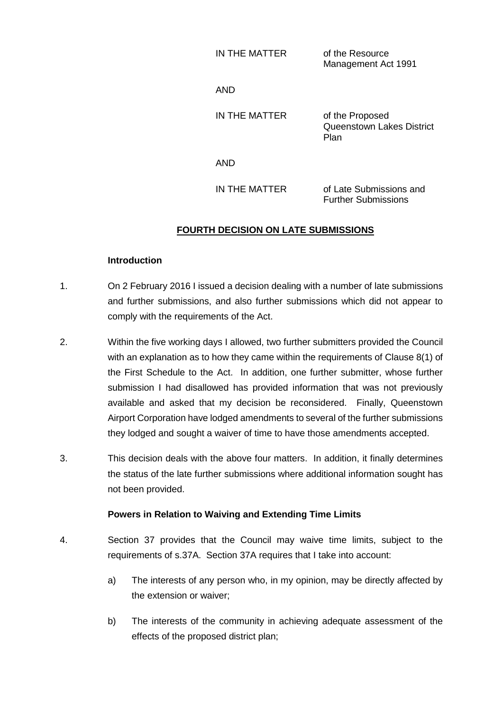| IN THE MATTER | of the Resource     |
|---------------|---------------------|
|               | Management Act 1991 |

AND

IN THE MATTER of the Proposed Queenstown Lakes District Plan

AND

IN THE MATTER of Late Submissions and Further Submissions

# **FOURTH DECISION ON LATE SUBMISSIONS**

#### **Introduction**

- 1. On 2 February 2016 I issued a decision dealing with a number of late submissions and further submissions, and also further submissions which did not appear to comply with the requirements of the Act.
- 2. Within the five working days I allowed, two further submitters provided the Council with an explanation as to how they came within the requirements of Clause 8(1) of the First Schedule to the Act. In addition, one further submitter, whose further submission I had disallowed has provided information that was not previously available and asked that my decision be reconsidered. Finally, Queenstown Airport Corporation have lodged amendments to several of the further submissions they lodged and sought a waiver of time to have those amendments accepted.
- 3. This decision deals with the above four matters. In addition, it finally determines the status of the late further submissions where additional information sought has not been provided.

### **Powers in Relation to Waiving and Extending Time Limits**

- 4. Section 37 provides that the Council may waive time limits, subject to the requirements of s.37A. Section 37A requires that I take into account:
	- a) The interests of any person who, in my opinion, may be directly affected by the extension or waiver;
	- b) The interests of the community in achieving adequate assessment of the effects of the proposed district plan;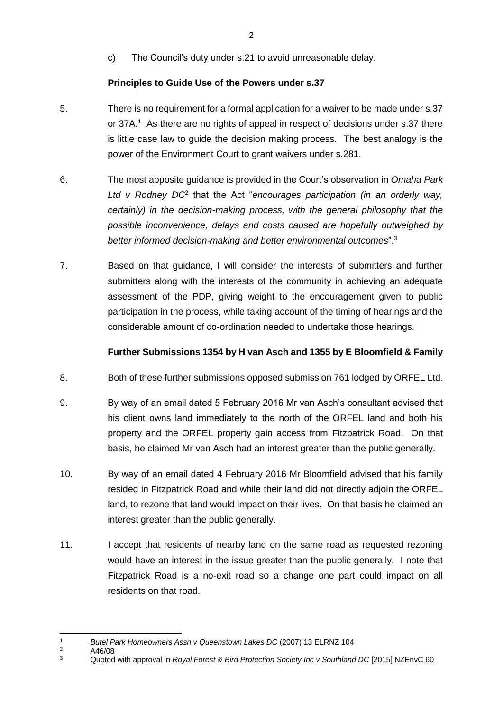c) The Council's duty under s.21 to avoid unreasonable delay.

## **Principles to Guide Use of the Powers under s.37**

- 5. There is no requirement for a formal application for a waiver to be made under s.37 or 37A.<sup>1</sup> As there are no rights of appeal in respect of decisions under s.37 there is little case law to guide the decision making process. The best analogy is the power of the Environment Court to grant waivers under s.281.
- 6. The most apposite guidance is provided in the Court's observation in *Omaha Park*  Ltd v Rodney DC<sup>2</sup> that the Act "*encourages participation (in an orderly way, certainly) in the decision-making process, with the general philosophy that the possible inconvenience, delays and costs caused are hopefully outweighed by better informed decision-making and better environmental outcomes*".<sup>3</sup>
- 7. Based on that guidance, I will consider the interests of submitters and further submitters along with the interests of the community in achieving an adequate assessment of the PDP, giving weight to the encouragement given to public participation in the process, while taking account of the timing of hearings and the considerable amount of co-ordination needed to undertake those hearings.

## **Further Submissions 1354 by H van Asch and 1355 by E Bloomfield & Family**

- 8. Both of these further submissions opposed submission 761 lodged by ORFEL Ltd.
- 9. By way of an email dated 5 February 2016 Mr van Asch's consultant advised that his client owns land immediately to the north of the ORFEL land and both his property and the ORFEL property gain access from Fitzpatrick Road. On that basis, he claimed Mr van Asch had an interest greater than the public generally.
- 10. By way of an email dated 4 February 2016 Mr Bloomfield advised that his family resided in Fitzpatrick Road and while their land did not directly adjoin the ORFEL land, to rezone that land would impact on their lives. On that basis he claimed an interest greater than the public generally.
- 11. I accept that residents of nearby land on the same road as requested rezoning would have an interest in the issue greater than the public generally. I note that Fitzpatrick Road is a no-exit road so a change one part could impact on all residents on that road.

 $\frac{2}{3}$  A46/08

 $\overline{a}$ <sup>1</sup> *Butel Park Homeowners Assn v Queenstown Lakes DC* (2007) 13 ELRNZ 104

<sup>3</sup> Quoted with approval in *Royal Forest & Bird Protection Society Inc v Southland DC* [2015] NZEnvC 60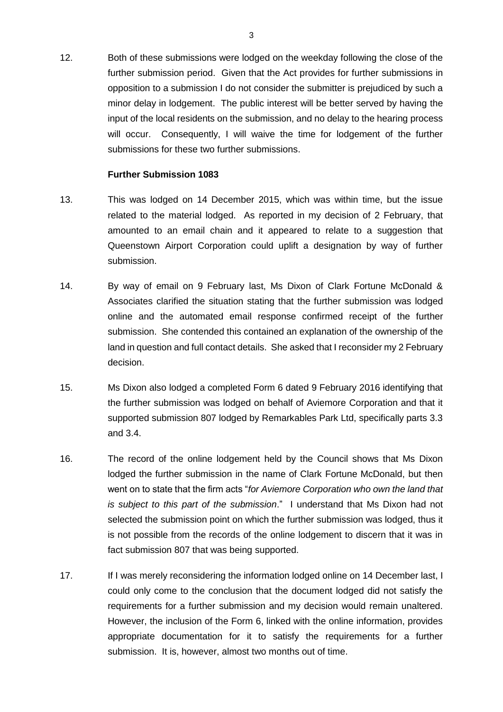12. Both of these submissions were lodged on the weekday following the close of the further submission period. Given that the Act provides for further submissions in opposition to a submission I do not consider the submitter is prejudiced by such a minor delay in lodgement. The public interest will be better served by having the input of the local residents on the submission, and no delay to the hearing process will occur. Consequently, I will waive the time for lodgement of the further submissions for these two further submissions.

#### **Further Submission 1083**

- 13. This was lodged on 14 December 2015, which was within time, but the issue related to the material lodged. As reported in my decision of 2 February, that amounted to an email chain and it appeared to relate to a suggestion that Queenstown Airport Corporation could uplift a designation by way of further submission.
- 14. By way of email on 9 February last, Ms Dixon of Clark Fortune McDonald & Associates clarified the situation stating that the further submission was lodged online and the automated email response confirmed receipt of the further submission. She contended this contained an explanation of the ownership of the land in question and full contact details. She asked that I reconsider my 2 February decision.
- 15. Ms Dixon also lodged a completed Form 6 dated 9 February 2016 identifying that the further submission was lodged on behalf of Aviemore Corporation and that it supported submission 807 lodged by Remarkables Park Ltd, specifically parts 3.3 and 3.4.
- 16. The record of the online lodgement held by the Council shows that Ms Dixon lodged the further submission in the name of Clark Fortune McDonald, but then went on to state that the firm acts "*for Aviemore Corporation who own the land that is subject to this part of the submission*." I understand that Ms Dixon had not selected the submission point on which the further submission was lodged, thus it is not possible from the records of the online lodgement to discern that it was in fact submission 807 that was being supported.
- 17. If I was merely reconsidering the information lodged online on 14 December last, I could only come to the conclusion that the document lodged did not satisfy the requirements for a further submission and my decision would remain unaltered. However, the inclusion of the Form 6, linked with the online information, provides appropriate documentation for it to satisfy the requirements for a further submission. It is, however, almost two months out of time.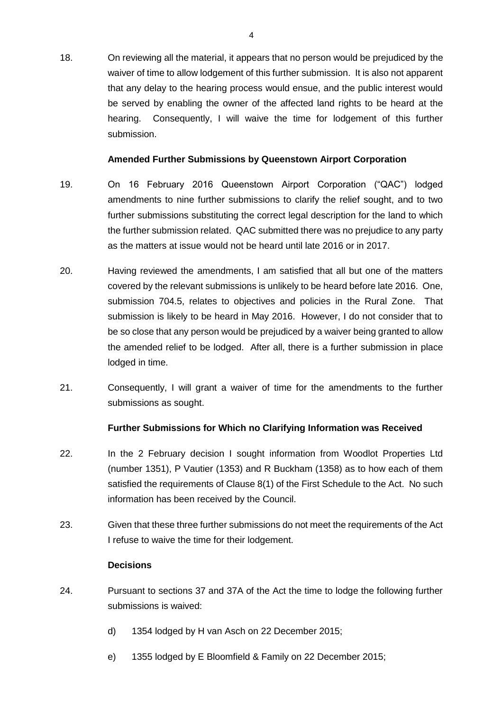18. On reviewing all the material, it appears that no person would be prejudiced by the waiver of time to allow lodgement of this further submission. It is also not apparent that any delay to the hearing process would ensue, and the public interest would be served by enabling the owner of the affected land rights to be heard at the hearing. Consequently, I will waive the time for lodgement of this further submission.

### **Amended Further Submissions by Queenstown Airport Corporation**

- 19. On 16 February 2016 Queenstown Airport Corporation ("QAC") lodged amendments to nine further submissions to clarify the relief sought, and to two further submissions substituting the correct legal description for the land to which the further submission related. QAC submitted there was no prejudice to any party as the matters at issue would not be heard until late 2016 or in 2017.
- 20. Having reviewed the amendments, I am satisfied that all but one of the matters covered by the relevant submissions is unlikely to be heard before late 2016. One, submission 704.5, relates to objectives and policies in the Rural Zone. That submission is likely to be heard in May 2016. However, I do not consider that to be so close that any person would be prejudiced by a waiver being granted to allow the amended relief to be lodged. After all, there is a further submission in place lodged in time.
- 21. Consequently, I will grant a waiver of time for the amendments to the further submissions as sought.

### **Further Submissions for Which no Clarifying Information was Received**

- 22. In the 2 February decision I sought information from Woodlot Properties Ltd (number 1351), P Vautier (1353) and R Buckham (1358) as to how each of them satisfied the requirements of Clause 8(1) of the First Schedule to the Act. No such information has been received by the Council.
- 23. Given that these three further submissions do not meet the requirements of the Act I refuse to waive the time for their lodgement.

### **Decisions**

- 24. Pursuant to sections 37 and 37A of the Act the time to lodge the following further submissions is waived:
	- d) 1354 lodged by H van Asch on 22 December 2015;
	- e) 1355 lodged by E Bloomfield & Family on 22 December 2015;